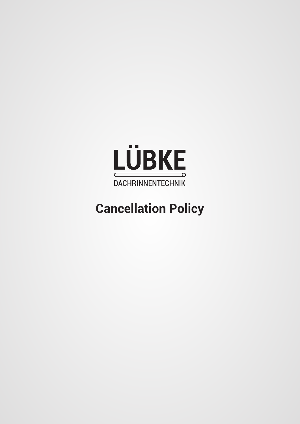

# **Cancellation Policy**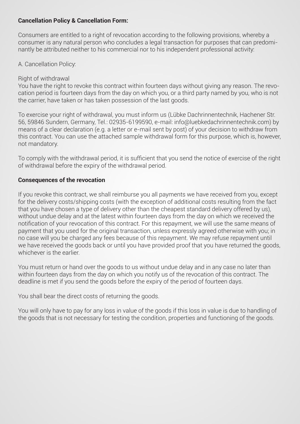#### **Cancellation Policy & Cancellation Form:**

Consumers are entitled to a right of revocation according to the following provisions, whereby a consumer is any natural person who concludes a legal transaction for purposes that can predominantly be attributed neither to his commercial nor to his independent professional activity:

## A. Cancellation Policy:

## Right of withdrawal

You have the right to revoke this contract within fourteen days without giving any reason. The revocation period is fourteen days from the day on which you, or a third party named by you, who is not the carrier, have taken or has taken possession of the last goods.

To exercise your right of withdrawal, you must inform us (Lübke Dachrinnentechnik, Hachener Str. 56, 59846 Sundern, Germany, Tel.: 02935-6199590, e-mail: info@luebkedachrinnentechnik.com) by means of a clear declaration (e.g. a letter or e-mail sent by post) of your decision to withdraw from this contract. You can use the attached sample withdrawal form for this purpose, which is, however, not mandatory.

To comply with the withdrawal period, it is sufficient that you send the notice of exercise of the right of withdrawal before the expiry of the withdrawal period.

#### **Consequences of the revocation**

If you revoke this contract, we shall reimburse you all payments we have received from you, except for the delivery costs/shipping costs (with the exception of additional costs resulting from the fact that you have chosen a type of delivery other than the cheapest standard delivery offered by us), without undue delay and at the latest within fourteen days from the day on which we received the notification of your revocation of this contract. For this repayment, we will use the same means of payment that you used for the original transaction, unless expressly agreed otherwise with you; in no case will you be charged any fees because of this repayment. We may refuse repayment until we have received the goods back or until you have provided proof that you have returned the goods, whichever is the earlier.

You must return or hand over the goods to us without undue delay and in any case no later than within fourteen days from the day on which you notify us of the revocation of this contract. The deadline is met if you send the goods before the expiry of the period of fourteen days.

You shall bear the direct costs of returning the goods.

You will only have to pay for any loss in value of the goods if this loss in value is due to handling of the goods that is not necessary for testing the condition, properties and functioning of the goods.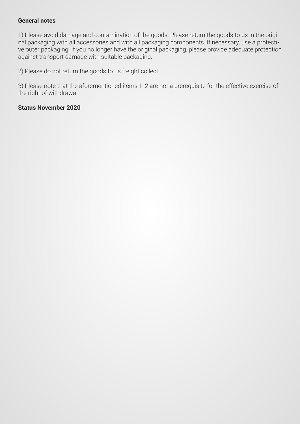#### **General notes**

1) Please avoid damage and contamination of the goods. Please return the goods to us in the original packaging with all accessories and with all packaging components. If necessary, use a protective outer packaging. If you no longer have the original packaging, please provide adequate protection against transport damage with suitable packaging.

2) Please do not return the goods to us freight collect.

3) Please note that the aforementioned items 1-2 are not a prerequisite for the effective exercise of the right of withdrawal.

#### **Status November 2020**